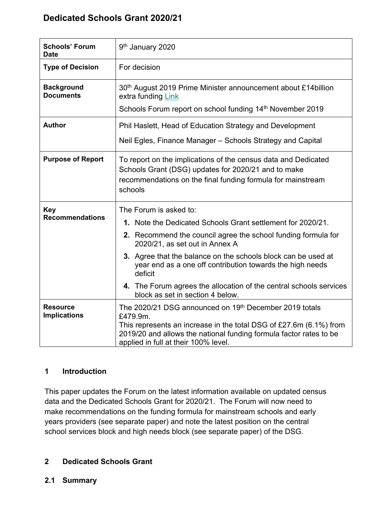# **Dedicated Schools Grant 2020/21**

| <b>Schools' Forum</b><br><b>Date</b>   | 9 <sup>th</sup> January 2020                                                                                                                                                                                                                                                                                           |  |  |  |  |
|----------------------------------------|------------------------------------------------------------------------------------------------------------------------------------------------------------------------------------------------------------------------------------------------------------------------------------------------------------------------|--|--|--|--|
| <b>Type of Decision</b>                | For decision                                                                                                                                                                                                                                                                                                           |  |  |  |  |
| <b>Background</b><br><b>Documents</b>  | 30 <sup>th</sup> August 2019 Prime Minister announcement about £14 billion<br>extra funding Link                                                                                                                                                                                                                       |  |  |  |  |
|                                        | Schools Forum report on school funding 14 <sup>th</sup> November 2019                                                                                                                                                                                                                                                  |  |  |  |  |
| <b>Author</b>                          | Phil Haslett, Head of Education Strategy and Development                                                                                                                                                                                                                                                               |  |  |  |  |
|                                        | Neil Egles, Finance Manager – Schools Strategy and Capital                                                                                                                                                                                                                                                             |  |  |  |  |
| <b>Purpose of Report</b>               | To report on the implications of the census data and Dedicated<br>Schools Grant (DSG) updates for 2020/21 and to make<br>recommendations on the final funding formula for mainstream<br>schools                                                                                                                        |  |  |  |  |
| <b>Key</b><br><b>Recommendations</b>   | The Forum is asked to:<br>1. Note the Dedicated Schools Grant settlement for 2020/21.<br>2. Recommend the council agree the school funding formula for<br>2020/21, as set out in Annex A<br>3. Agree that the balance on the schools block can be used at<br>year end as a one off contribution towards the high needs |  |  |  |  |
|                                        | deficit<br>4. The Forum agrees the allocation of the central schools services<br>block as set in section 4 below.                                                                                                                                                                                                      |  |  |  |  |
| <b>Resource</b><br><b>Implications</b> | The 2020/21 DSG announced on 19th December 2019 totals<br>£479.9m.<br>This represents an increase in the total DSG of £27.6m $(6.1\%)$ from<br>2019/20 and allows the national funding formula factor rates to be<br>applied in full at their 100% level.                                                              |  |  |  |  |

### **1 Introduction**

This paper updates the Forum on the latest information available on updated census data and the Dedicated Schools Grant for 2020/21. The Forum will now need to make recommendations on the funding formula for mainstream schools and early years providers (see separate paper) and note the latest position on the central school services block and high needs block (see separate paper) of the DSG.

## **2 Dedicated Schools Grant**

### **2.1 Summary**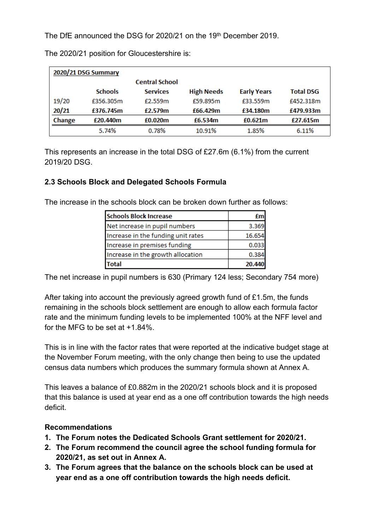The DfE announced the DSG for 2020/21 on the 19th December 2019.

| 2020/21 DSG Summary |                |                       |                   |                    |                  |  |  |
|---------------------|----------------|-----------------------|-------------------|--------------------|------------------|--|--|
|                     |                | <b>Central School</b> |                   |                    |                  |  |  |
|                     | <b>Schools</b> | <b>Services</b>       | <b>High Needs</b> | <b>Early Years</b> | <b>Total DSG</b> |  |  |
| 19/20               | £356.305m      | f2.559m               | £59.895m          | £33.559m           | £452.318m        |  |  |
| 20/21               | £376.745m      | £2.579m               | £66.429m          | £34.180m           | £479.933m        |  |  |
| Change              | £20.440m       | £0.020m               | £6.534m           | £0.621m            | £27.615m         |  |  |
|                     | 5.74%          | 0.78%                 | 10.91%            | 1.85%              | 6.11%            |  |  |

The 2020/21 position for Gloucestershire is:

This represents an increase in the total DSG of £27.6m (6.1%) from the current 2019/20 DSG.

## **2.3 Schools Block and Delegated Schools Formula**

The increase in the schools block can be broken down further as follows:

| <b>Schools Block Increase</b>      |        |
|------------------------------------|--------|
| Net increase in pupil numbers      | 3.369  |
| Increase in the funding unit rates | 16.654 |
| Increase in premises funding       | 0.033  |
| Increase in the growth allocation  | 0.384  |
| otal                               | 20.44  |

The net increase in pupil numbers is 630 (Primary 124 less; Secondary 754 more)

After taking into account the previously agreed growth fund of £1.5m, the funds remaining in the schools block settlement are enough to allow each formula factor rate and the minimum funding levels to be implemented 100% at the NFF level and for the MFG to be set at +1.84%.

This is in line with the factor rates that were reported at the indicative budget stage at the November Forum meeting, with the only change then being to use the updated census data numbers which produces the summary formula shown at Annex A.

This leaves a balance of £0.882m in the 2020/21 schools block and it is proposed that this balance is used at year end as a one off contribution towards the high needs deficit.

### **Recommendations**

- **1. The Forum notes the Dedicated Schools Grant settlement for 2020/21.**
- **2. The Forum recommend the council agree the school funding formula for 2020/21, as set out in Annex A.**
- **3. The Forum agrees that the balance on the schools block can be used at year end as a one off contribution towards the high needs deficit.**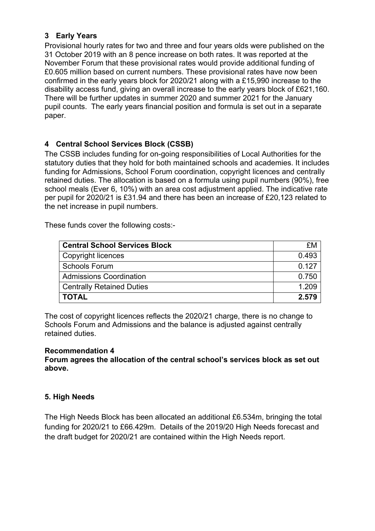## **3 Early Years**

Provisional hourly rates for two and three and four years olds were published on the 31 October 2019 with an 8 pence increase on both rates. It was reported at the November Forum that these provisional rates would provide additional funding of £0.605 million based on current numbers. These provisional rates have now been confirmed in the early years block for 2020/21 along with a £15,990 increase to the disability access fund, giving an overall increase to the early years block of £621,160. There will be further updates in summer 2020 and summer 2021 for the January pupil counts. The early years financial position and formula is set out in a separate paper.

### **4 Central School Services Block (CSSB)**

The CSSB includes funding for on-going responsibilities of Local Authorities for the statutory duties that they hold for both maintained schools and academies. It includes funding for Admissions, School Forum coordination, copyright licences and centrally retained duties. The allocation is based on a formula using pupil numbers (90%), free school meals (Ever 6, 10%) with an area cost adjustment applied. The indicative rate per pupil for 2020/21 is £31.94 and there has been an increase of £20,123 related to the net increase in pupil numbers.

These funds cover the following costs:-

| <b>Central School Services Block</b> | £M    |
|--------------------------------------|-------|
| Copyright licences                   | 0.493 |
| <b>Schools Forum</b>                 | 0.127 |
| <b>Admissions Coordination</b>       | 0.750 |
| <b>Centrally Retained Duties</b>     | 1.209 |
| <b>TOTAL</b>                         | 2.579 |

The cost of copyright licences reflects the 2020/21 charge, there is no change to Schools Forum and Admissions and the balance is adjusted against centrally retained duties.

#### **Recommendation 4**

**Forum agrees the allocation of the central school's services block as set out above.**

### **5. High Needs**

The High Needs Block has been allocated an additional £6.534m, bringing the total funding for 2020/21 to £66.429m. Details of the 2019/20 High Needs forecast and the draft budget for 2020/21 are contained within the High Needs report.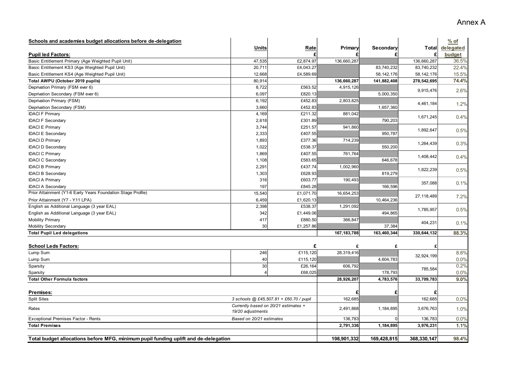| Schools and academies budget allocations before de-delegation                       |                                                           |           |               |                |              | $%$ of              |
|-------------------------------------------------------------------------------------|-----------------------------------------------------------|-----------|---------------|----------------|--------------|---------------------|
| <b>Pupil led Factors:</b>                                                           | <b>Units</b>                                              | Rate<br>£ | Primary<br>£  | Secondary<br>£ | Total        | delegated<br>budget |
| Basic Entitlement Primary (Age Weighted Pupil Unit)                                 | 47,535                                                    | £2,874.97 | 136,660,287   |                | 136,660,287  | 36.5%               |
| Basic Entitlement KS3 (Age Weighted Pupil Unit)                                     | 20,711                                                    | £4,043.27 |               | 83,740,232     | 83,740,232   | 22.4%               |
| Basic Entitlement KS4 (Age Weighted Pupil Unit)                                     | 12,668                                                    | £4,589.69 |               | 58, 142, 176   | 58, 142, 176 | 15.5%               |
| Total AWPU (October 2019 pupils)                                                    | 80,914                                                    |           | 136,660,287   | 141,882,408    | 278,542,695  | 74.4%               |
| Deprivation Primary (FSM ever 6)                                                    | 8,722                                                     | £563.52   | 4,915,126     |                |              |                     |
| Deprivation Secondary (FSM ever 6)                                                  | 6,097                                                     | £820.13   |               | 5,000,350      | 9,915,476    | 2.6%                |
| Deprivation Primary (FSM)                                                           | 6,192                                                     | £452.83   | 2,803,825     |                |              |                     |
| Deprivation Secondary (FSM)                                                         | 3,660                                                     | £452.83   |               | 1,657,360      | 4,461,184    | 1.2%                |
| <b>IDACI F Primary</b>                                                              | 4,169                                                     | £211.32   | 881,042       |                |              |                     |
|                                                                                     | 2,618                                                     | £301.89   |               | 790,203        | 1,671,245    | 0.4%                |
| <b>IDACI F Secondary</b>                                                            |                                                           | £251.57   | 941,860       |                |              |                     |
| <b>IDACI E Primary</b>                                                              | 3,744                                                     |           |               |                | 1,892,647    | 0.5%                |
| <b>IDACI E Secondary</b>                                                            | 2,333                                                     | £407.55   |               | 950,787        |              |                     |
| <b>IDACI D Primary</b>                                                              | 1,893                                                     | £377.36   | 714,239       |                | 1,264,439    | 0.3%                |
| <b>IDACI D Secondary</b>                                                            | 1,022                                                     | £538.37   |               | 550,200        |              |                     |
| <b>IDACI C Primary</b>                                                              | 1,869                                                     | £407.55   | 761,764       |                | 1,408,442    | 0.4%                |
| <b>IDACI C Secondary</b>                                                            | 1,108                                                     | £583.65   |               | 646,678        |              |                     |
| <b>IDACI B Primary</b>                                                              | 2,291                                                     | £437.74   | 1,002,960     |                | 1,822,239    | 0.5%                |
| <b>IDACI B Secondary</b>                                                            | 1,303                                                     | £628.93   |               | 819,279        |              |                     |
| <b>IDACI A Primary</b>                                                              | 316                                                       | £603.77   | 190,493       |                | 357,088      | 0.1%                |
| <b>IDACI A Secondary</b>                                                            | 197                                                       | £845.28   |               | 166,596        |              |                     |
| Prior Attainment (Y1-6 Early Years Foundation Stage Profile)                        | 15,540                                                    | £1,071.70 | 16,654,253    |                |              |                     |
| Prior Attainment (Y7 - Y11 LPA)                                                     | 6,459                                                     | £1,620.13 |               | 10,464,236     | 27, 118, 489 | 7.2%                |
| English as Additional Language (3 year EAL)                                         | 2,398                                                     | £538.37   | 1,291,092     |                | 1,785,957    |                     |
| English as Additional Language (3 year EAL)                                         | 342                                                       | £1,449.06 |               | 494,865        |              | 0.5%                |
| Mobility Primary                                                                    | 417                                                       | £880.50   | 366,847       |                |              |                     |
| Mobility Secondary                                                                  | 30                                                        | £1,257.86 |               | 37,384         | 404,231      | 0.1%                |
| <b>Total Pupil Led delegations</b>                                                  |                                                           |           | 167, 183, 788 | 163,460,344    | 330,644,132  | 88.3%               |
|                                                                                     |                                                           |           |               |                |              |                     |
| <b>School Leds Factors:</b>                                                         |                                                           | £         | £             | £              |              |                     |
| Lump Sum                                                                            | 246                                                       | £115,120  | 28,319,416    |                | 32,924,199   | 8.8%                |
| Lump Sum                                                                            | 40                                                        | £115,120  |               | 4,604,783      |              | 0.0%                |
| Sparsity                                                                            | 30                                                        | £26,164   | 606,792       |                | 785,584      | 0.2%                |
| Sparsity                                                                            | $\vert$                                                   | £68,025   |               | 178,793        |              | 0.0%                |
| <b>Total Other Formula factors</b>                                                  |                                                           |           | 28,926,207    | 4,783,576      | 33,709,783   | 9.0%                |
| Premises:                                                                           |                                                           |           | £             | £              |              |                     |
| <b>Split Sites</b>                                                                  |                                                           |           | 162,685       |                | 162,685      | 0.0%                |
|                                                                                     | 3 schools @ £45,507.81 + £60.70 / pupil                   |           |               |                |              |                     |
| Rates                                                                               | Currently based on 20/21 estimates +<br>19/20 adjustments |           | 2,491,868     | 1,184,895      | 3,676,763    | 1.0%                |
| <b>Exceptional Premises Factor - Rents</b><br>Based on 20/21 estimates              |                                                           |           | 136,783       | $\overline{0}$ | 136,783      | 0.0%                |
| <b>Total Premises</b>                                                               |                                                           |           | 2,791,336     | 1,184,895      | 3,976,231    | 1.1%                |
|                                                                                     |                                                           |           |               |                |              |                     |
| Total budget allocations before MFG, minimum pupil funding uplift and de-delegation |                                                           |           | 198,901,332   | 169,428,815    | 368,330,147  | 98.4%               |